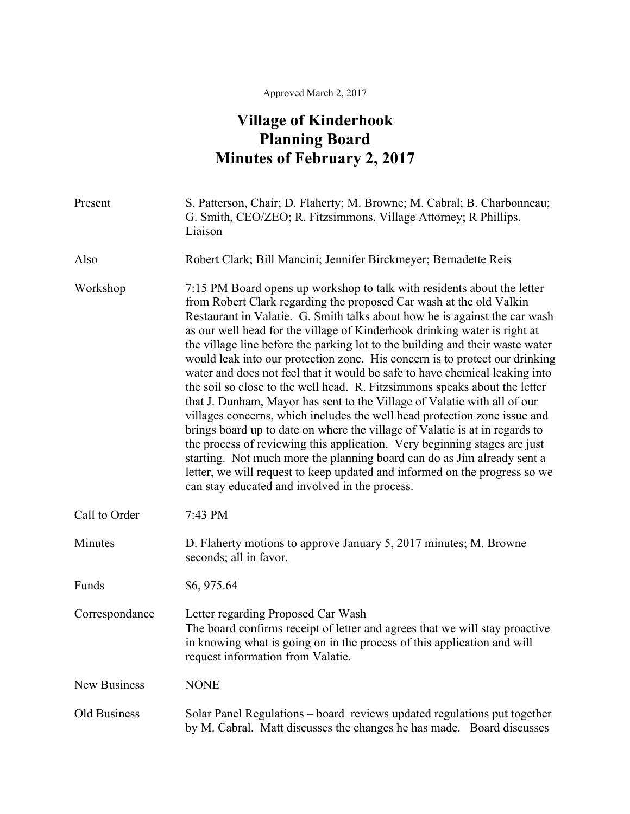## Approved March 2, 2017

## **Village of Kinderhook Planning Board Minutes of February 2, 2017**

| Present             | S. Patterson, Chair; D. Flaherty; M. Browne; M. Cabral; B. Charbonneau;<br>G. Smith, CEO/ZEO; R. Fitzsimmons, Village Attorney; R Phillips,<br>Liaison                                                                                                                                                                                                                                                                                                                                                                                                                                                                                                                                                                                                                                                                                                                                                                                                                                                                                                                                                                                                                 |
|---------------------|------------------------------------------------------------------------------------------------------------------------------------------------------------------------------------------------------------------------------------------------------------------------------------------------------------------------------------------------------------------------------------------------------------------------------------------------------------------------------------------------------------------------------------------------------------------------------------------------------------------------------------------------------------------------------------------------------------------------------------------------------------------------------------------------------------------------------------------------------------------------------------------------------------------------------------------------------------------------------------------------------------------------------------------------------------------------------------------------------------------------------------------------------------------------|
| Also                | Robert Clark; Bill Mancini; Jennifer Birckmeyer; Bernadette Reis                                                                                                                                                                                                                                                                                                                                                                                                                                                                                                                                                                                                                                                                                                                                                                                                                                                                                                                                                                                                                                                                                                       |
| Workshop            | 7:15 PM Board opens up workshop to talk with residents about the letter<br>from Robert Clark regarding the proposed Car wash at the old Valkin<br>Restaurant in Valatie. G. Smith talks about how he is against the car wash<br>as our well head for the village of Kinderhook drinking water is right at<br>the village line before the parking lot to the building and their waste water<br>would leak into our protection zone. His concern is to protect our drinking<br>water and does not feel that it would be safe to have chemical leaking into<br>the soil so close to the well head. R. Fitzsimmons speaks about the letter<br>that J. Dunham, Mayor has sent to the Village of Valatie with all of our<br>villages concerns, which includes the well head protection zone issue and<br>brings board up to date on where the village of Valatie is at in regards to<br>the process of reviewing this application. Very beginning stages are just<br>starting. Not much more the planning board can do as Jim already sent a<br>letter, we will request to keep updated and informed on the progress so we<br>can stay educated and involved in the process. |
| Call to Order       | 7:43 PM                                                                                                                                                                                                                                                                                                                                                                                                                                                                                                                                                                                                                                                                                                                                                                                                                                                                                                                                                                                                                                                                                                                                                                |
| Minutes             | D. Flaherty motions to approve January 5, 2017 minutes; M. Browne<br>seconds; all in favor.                                                                                                                                                                                                                                                                                                                                                                                                                                                                                                                                                                                                                                                                                                                                                                                                                                                                                                                                                                                                                                                                            |
| Funds               | \$6,975.64                                                                                                                                                                                                                                                                                                                                                                                                                                                                                                                                                                                                                                                                                                                                                                                                                                                                                                                                                                                                                                                                                                                                                             |
| Correspondance      | Letter regarding Proposed Car Wash<br>The board confirms receipt of letter and agrees that we will stay proactive<br>in knowing what is going on in the process of this application and will<br>request information from Valatie.                                                                                                                                                                                                                                                                                                                                                                                                                                                                                                                                                                                                                                                                                                                                                                                                                                                                                                                                      |
| <b>New Business</b> | <b>NONE</b>                                                                                                                                                                                                                                                                                                                                                                                                                                                                                                                                                                                                                                                                                                                                                                                                                                                                                                                                                                                                                                                                                                                                                            |
| Old Business        | Solar Panel Regulations – board reviews updated regulations put together<br>by M. Cabral. Matt discusses the changes he has made. Board discusses                                                                                                                                                                                                                                                                                                                                                                                                                                                                                                                                                                                                                                                                                                                                                                                                                                                                                                                                                                                                                      |